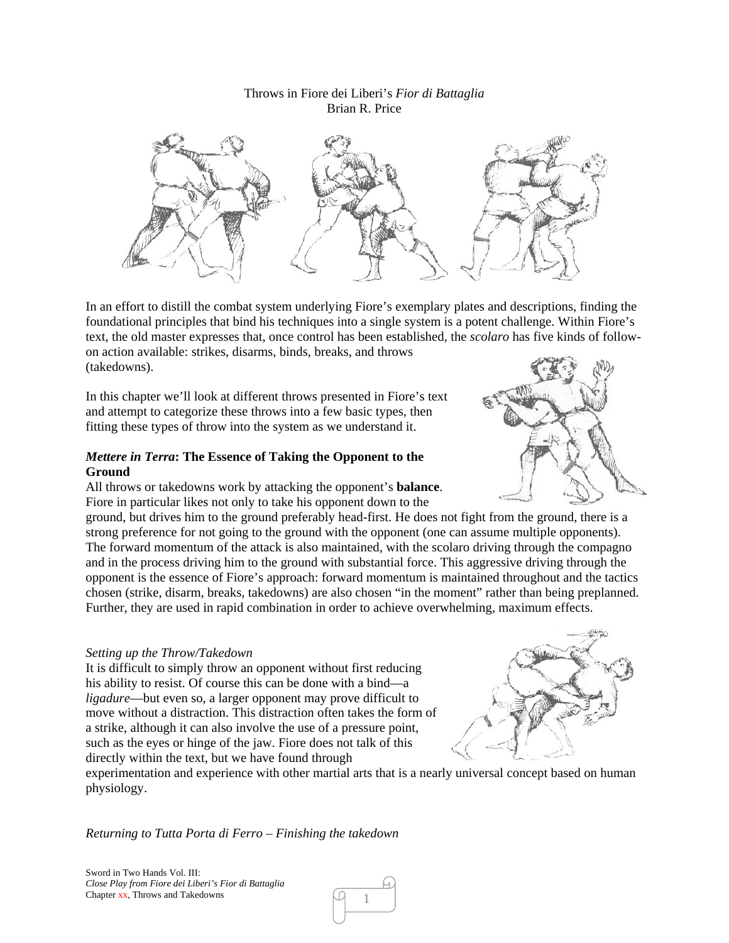## Throws in Fiore dei Liberi's *Fior di Battaglia*  Brian R. Price



In an effort to distill the combat system underlying Fiore's exemplary plates and descriptions, finding the foundational principles that bind his techniques into a single system is a potent challenge. Within Fiore's text, the old master expresses that, once control has been established, the *scolaro* has five kinds of followon action available: strikes, disarms, binds, breaks, and throws (takedowns).

In this chapter we'll look at different throws presented in Fiore's text and attempt to categorize these throws into a few basic types, then fitting these types of throw into the system as we understand it.

## *Mettere in Terra***: The Essence of Taking the Opponent to the Ground**

All throws or takedowns work by attacking the opponent's **balance**. Fiore in particular likes not only to take his opponent down to the

ground, but drives him to the ground preferably head-first. He does not fight from the ground, there is a strong preference for not going to the ground with the opponent (one can assume multiple opponents). The forward momentum of the attack is also maintained, with the scolaro driving through the compagno and in the process driving him to the ground with substantial force. This aggressive driving through the opponent is the essence of Fiore's approach: forward momentum is maintained throughout and the tactics chosen (strike, disarm, breaks, takedowns) are also chosen "in the moment" rather than being preplanned. Further, they are used in rapid combination in order to achieve overwhelming, maximum effects.

#### *Setting up the Throw/Takedown*

It is difficult to simply throw an opponent without first reducing his ability to resist. Of course this can be done with a bind—a *ligadure*—but even so, a larger opponent may prove difficult to move without a distraction. This distraction often takes the form of a strike, although it can also involve the use of a pressure point, such as the eyes or hinge of the jaw. Fiore does not talk of this directly within the text, but we have found through



experimentation and experience with other martial arts that is a nearly universal concept based on human physiology.

*Returning to Tutta Porta di Ferro – Finishing the takedown* 



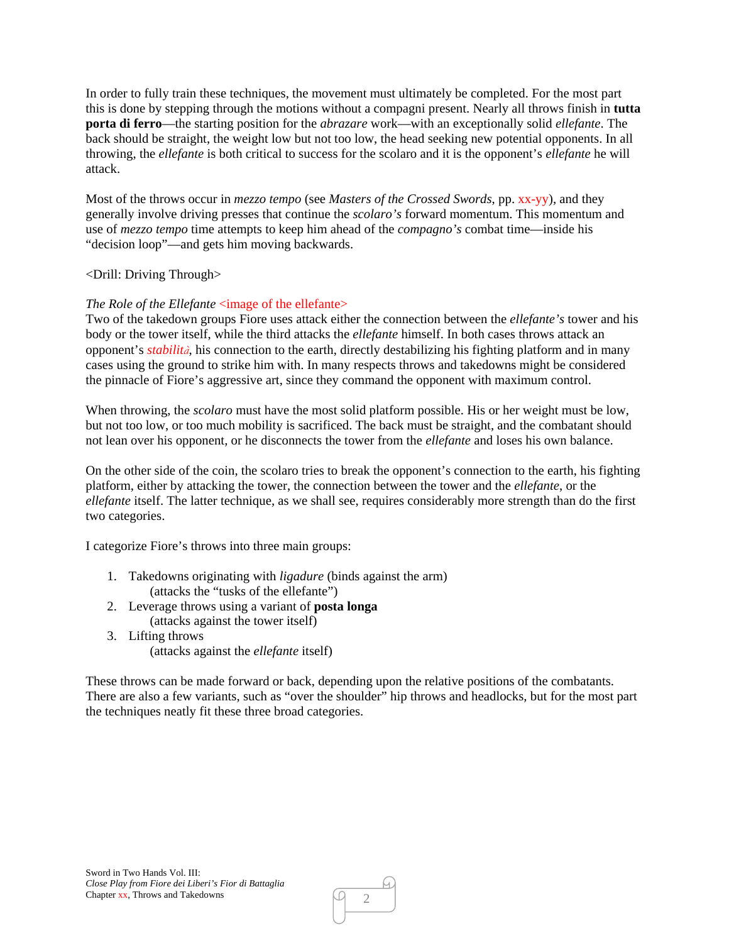In order to fully train these techniques, the movement must ultimately be completed. For the most part this is done by stepping through the motions without a compagni present. Nearly all throws finish in **tutta porta di ferro**—the starting position for the *abrazare* work—with an exceptionally solid *ellefante*. The back should be straight, the weight low but not too low, the head seeking new potential opponents. In all throwing, the *ellefante* is both critical to success for the scolaro and it is the opponent's *ellefante* he will attack.

Most of the throws occur in *mezzo tempo* (see *Masters of the Crossed Swords*, pp. xx-yy), and they generally involve driving presses that continue the *scolaro's* forward momentum. This momentum and use of *mezzo tempo* time attempts to keep him ahead of the *compagno's* combat time—inside his "decision loop"—and gets him moving backwards.

## <Drill: Driving Through>

# *The Role of the Ellefante <image of the ellefante>*

Two of the takedown groups Fiore uses attack either the connection between the *ellefante's* tower and his body or the tower itself, while the third attacks the *ellefante* himself. In both cases throws attack an opponent's *stabilità*, his connection to the earth, directly destabilizing his fighting platform and in many cases using the ground to strike him with. In many respects throws and takedowns might be considered the pinnacle of Fiore's aggressive art, since they command the opponent with maximum control.

When throwing, the *scolaro* must have the most solid platform possible. His or her weight must be low, but not too low, or too much mobility is sacrificed. The back must be straight, and the combatant should not lean over his opponent, or he disconnects the tower from the *ellefante* and loses his own balance.

On the other side of the coin, the scolaro tries to break the opponent's connection to the earth, his fighting platform, either by attacking the tower, the connection between the tower and the *ellefante*, or the *ellefante* itself. The latter technique, as we shall see, requires considerably more strength than do the first two categories.

I categorize Fiore's throws into three main groups:

- 1. Takedowns originating with *ligadure* (binds against the arm) (attacks the "tusks of the ellefante")
- 2. Leverage throws using a variant of **posta longa** (attacks against the tower itself)
- 3. Lifting throws (attacks against the *ellefante* itself)

These throws can be made forward or back, depending upon the relative positions of the combatants. There are also a few variants, such as "over the shoulder" hip throws and headlocks, but for the most part the techniques neatly fit these three broad categories.

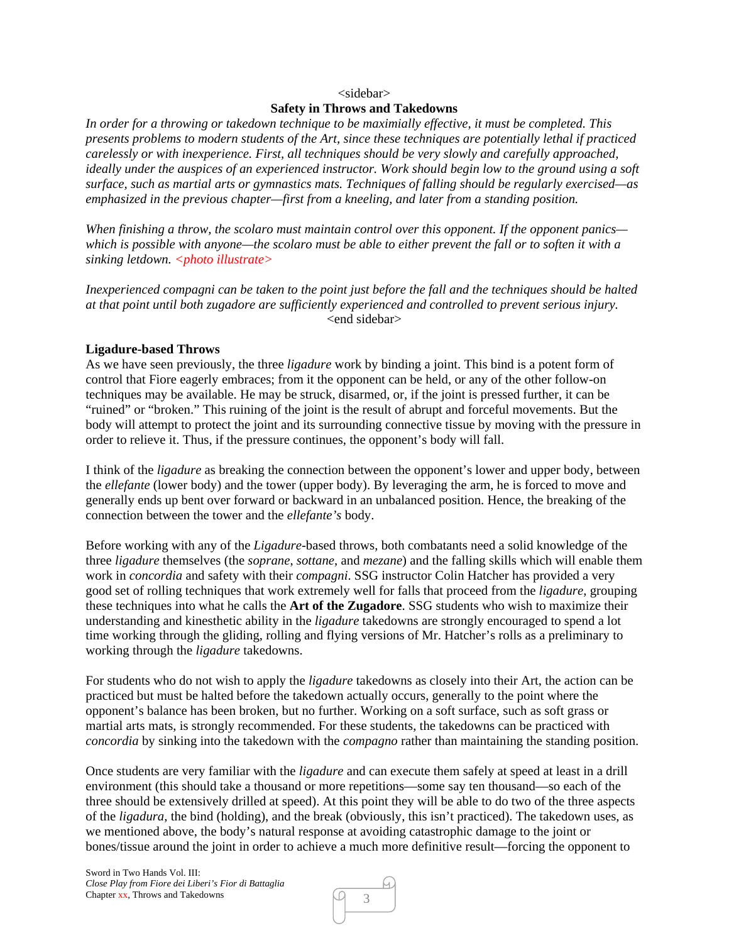## <sidebar> **Safety in Throws and Takedowns**

*In order for a throwing or takedown technique to be maximially effective, it must be completed. This presents problems to modern students of the Art, since these techniques are potentially lethal if practiced carelessly or with inexperience. First, all techniques should be very slowly and carefully approached, ideally under the auspices of an experienced instructor. Work should begin low to the ground using a soft surface, such as martial arts or gymnastics mats. Techniques of falling should be regularly exercised—as emphasized in the previous chapter—first from a kneeling, and later from a standing position.* 

*When finishing a throw, the scolaro must maintain control over this opponent. If the opponent panics which is possible with anyone—the scolaro must be able to either prevent the fall or to soften it with a sinking letdown. <photo illustrate>*

*Inexperienced compagni can be taken to the point just before the fall and the techniques should be halted at that point until both zugadore are sufficiently experienced and controlled to prevent serious injury.*  <end sidebar>

## **Ligadure-based Throws**

As we have seen previously, the three *ligadure* work by binding a joint. This bind is a potent form of control that Fiore eagerly embraces; from it the opponent can be held, or any of the other follow-on techniques may be available. He may be struck, disarmed, or, if the joint is pressed further, it can be "ruined" or "broken." This ruining of the joint is the result of abrupt and forceful movements. But the body will attempt to protect the joint and its surrounding connective tissue by moving with the pressure in order to relieve it. Thus, if the pressure continues, the opponent's body will fall.

I think of the *ligadure* as breaking the connection between the opponent's lower and upper body, between the *ellefante* (lower body) and the tower (upper body). By leveraging the arm, he is forced to move and generally ends up bent over forward or backward in an unbalanced position. Hence, the breaking of the connection between the tower and the *ellefante's* body.

Before working with any of the *Ligadure*-based throws, both combatants need a solid knowledge of the three *ligadure* themselves (the *soprane*, *sottane*, and *mezane*) and the falling skills which will enable them work in *concordia* and safety with their *compagni*. SSG instructor Colin Hatcher has provided a very good set of rolling techniques that work extremely well for falls that proceed from the *ligadure*, grouping these techniques into what he calls the **Art of the Zugadore**. SSG students who wish to maximize their understanding and kinesthetic ability in the *ligadure* takedowns are strongly encouraged to spend a lot time working through the gliding, rolling and flying versions of Mr. Hatcher's rolls as a preliminary to working through the *ligadure* takedowns.

For students who do not wish to apply the *ligadure* takedowns as closely into their Art, the action can be practiced but must be halted before the takedown actually occurs, generally to the point where the opponent's balance has been broken, but no further. Working on a soft surface, such as soft grass or martial arts mats, is strongly recommended. For these students, the takedowns can be practiced with *concordia* by sinking into the takedown with the *compagno* rather than maintaining the standing position.

Once students are very familiar with the *ligadure* and can execute them safely at speed at least in a drill environment (this should take a thousand or more repetitions—some say ten thousand—so each of the three should be extensively drilled at speed). At this point they will be able to do two of the three aspects of the *ligadura*, the bind (holding), and the break (obviously, this isn't practiced). The takedown uses, as we mentioned above, the body's natural response at avoiding catastrophic damage to the joint or bones/tissue around the joint in order to achieve a much more definitive result—forcing the opponent to

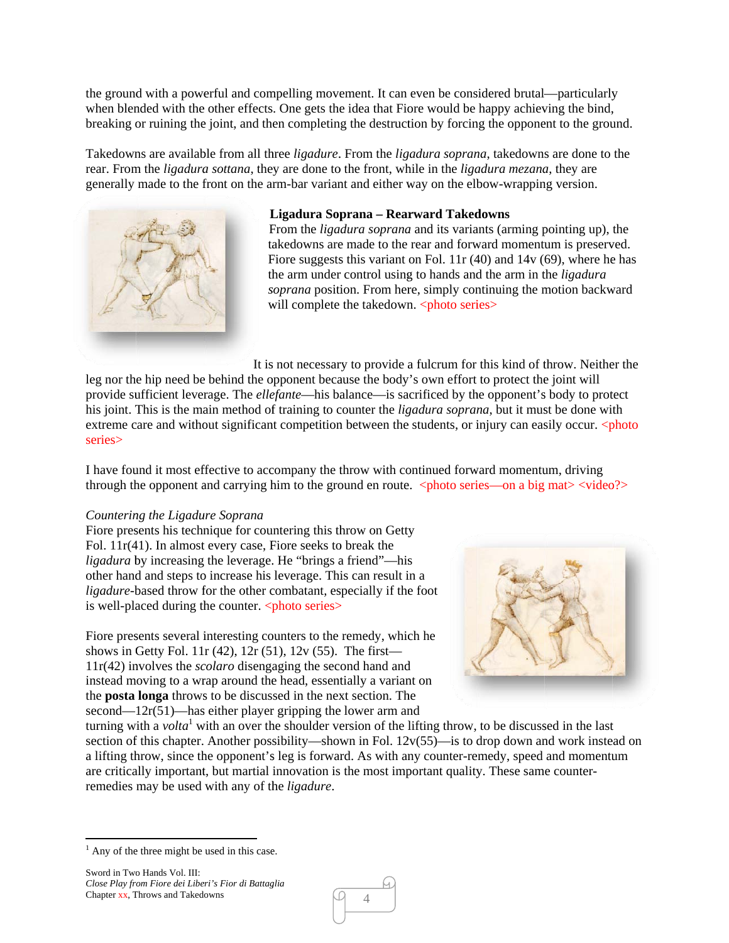the ground with a powerful and compelling movement. It can even be considered brutal—particularly when blended with the other effects. One gets the idea that Fiore would be happy achieving the bind, the ground with a powerful and compelling movement. It can even be considered brutal—particularly when blended with the other effects. One gets the idea that Fiore would be happy achieving the bind, breaking or ruining the

Takedowns are available from all three *ligadure*. From the *ligadura soprana*, takedowns are done to the rear. From the *ligadura sottana*, they are done to the front, while in the *ligadura mezana*, they are generally made to the front on the arm-bar variant and either way on the elbow-wrapping version.



### Ligadura Soprana – Rearward Takedowns

From the *ligadura soprana* and its variants (arming pointing up), the takedowns are made to the rear and forward momentum is preserved. Fiore suggests this variant on Fol.  $11r(40)$  and  $14v(69)$ , where he has the arm under control using to hands and the arm in the *ligadura* soprana position. From here, simply continuing the motion backward will complete the takedown. <photo series>

leg nor the hip need be behind the opponent because the body's own effort to protect the joint will provide sufficient leverage. The *ellefante*—his balance—is sacrificed by the opponent's body to protect his joint. This is the main method of training to counter the *ligadura soprana*, but it must be done with extreme care and without significant competition between the students, or injury can easily occur. <photo series> It is not necessary to provide a fulcrum for this kind of throw. Neither the

I have found it most effective to accompany the throw with continued forward momentum, driving through the opponent and carrying him to the ground en route. <photo series—on a big mat><video?>

#### *Countering the Ligadure Soprana*

Fiore presents his technique for countering this throw on Getty Fol. 11r(41). In almost every case, Fiore seeks to break the ligadura by increasing the leverage. He "brings a friend"—his Fiore presents his technique for countering this throw on Getty<br>Fol.  $11r(41)$ . In almost every case, Fiore seeks to break the<br>*ligadura* by increasing the leverage. He "brings a friend"—his<br>other hand and steps to increa ligadure-based throw for the other combatant, especially if the foot is well-placed during the counter. <photo series>

is well-placed during the counter. <photo series><br>Fiore presents several interesting counters to the remedy, which he shows in Getty Fol. 11r (42), 12r (51), 12v (55). The first— 11r(42) involves the *scolaro* disengaging the second hand and  $11r(42)$  involves the *scolaro* disengaging the second hand and instead moving to a wrap around the head, essentially a variant on the **posta longa** throws to be discussed in the next section. The second— $12r(51)$ —has either player gripping the lower arm and



turning with a *volta*<sup>1</sup> with an over the shoulder version of the lifting throw, to be discussed in the last turning with a *volta*<sup>1</sup> with an over the shoulder version of the lifting throw, to be discussed in the last section of this chapter. Another possibility—shown in Fol.  $12v(55)$ —is to drop down and work instead on a lifting throw, since the opponent's leg is forward. As with any counter-remedy, speed and momentum are critically important, but martial innovation is the most important quality. These same counterremedies may be used with any of the *ligadure*.



  $<sup>1</sup>$  Any of the three might be used in this case.</sup>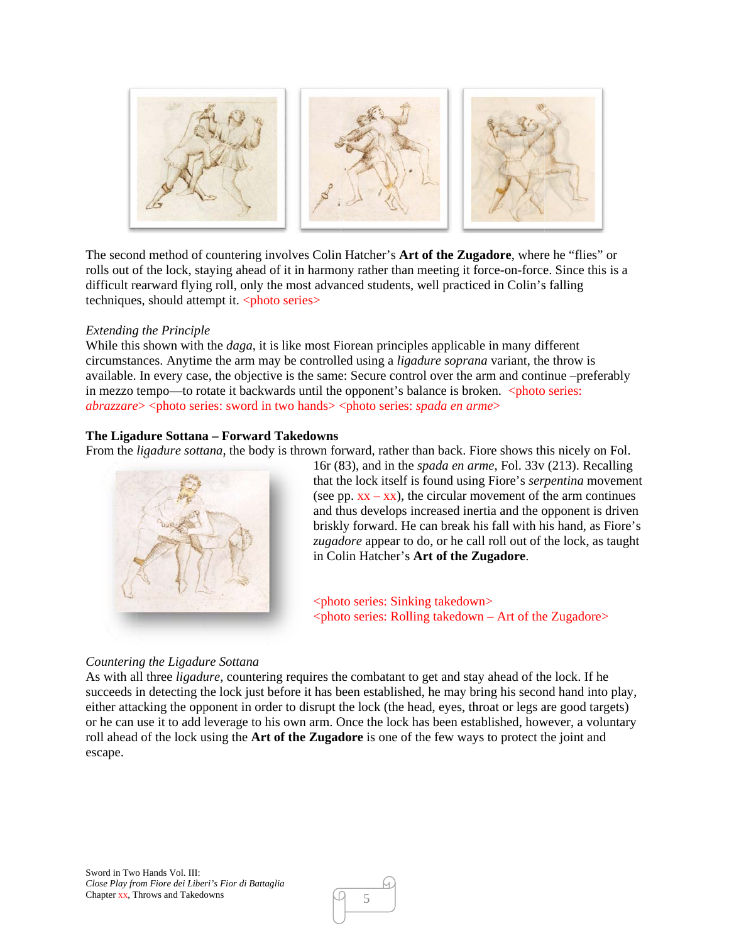

The second method of countering involves Colin Hatcher's Art of the Zugadore, where he "flies" or rolls out of the lock, staying ahead of it in harmony rather than meeting it force-on-force. Since this is a difficult rearward flying roll, only the most advanced students, well practiced in Colin's falling techniques, should attempt it. <photo series>

### *Extending the Principle*

While this shown with the *daga*, it is like most Fiorean principles applicable in many different circumstances. Anytime the arm may be controlled using a *ligadure soprana* variant, the throw is available. In every case, the objective is the same: Secure control over the arm and continue -preferably in mezzo tempo—to rotate it backwards until the opponent's balance is broken. <photo series: abrazzare> <photo series: sword in two hands> <photo series: *spada en arme>* 

### **The Liga dure Sottana a – Forward Takedowns**

From the *ligadure sottana*, the body is thrown forward, rather than back. Fiore shows this nicely on Fol.



16r (8 83), and in th e *spada en ar rme*, Fol. 33v (213). Recal ling that the lock itself is found using Fiore's *serpentina* movement (see pp.  $xx - xx$ ), the circular movement of the arm continues and thus develops increased inertia and the opponent is driven briskly forward. He can break his fall with his hand, as Fiore's zugadore appear to do, or he call roll out of the lock, as taught in Colin Hatcher's Art of the Zugadore.

<photo series: Sinking takedown> <photo series: Rolling takedown - Art of the Zugadore>

#### *Countering the Ligadure Sottana*

As with all three *ligadure*, countering requires the combatant to get and stay ahead of the lock. If he succeeds in detecting the lock just before it has been established, he may bring his second hand into play, either attacking the opponent in order to disrupt the lock (the head, eyes, throat or legs are good targets) or he can use it to add leverage to his own arm. Once the lock has been established, however, a voluntary roll ahead of the lock using the Art of the Zugadore is one of the few ways to protect the joint and escape.

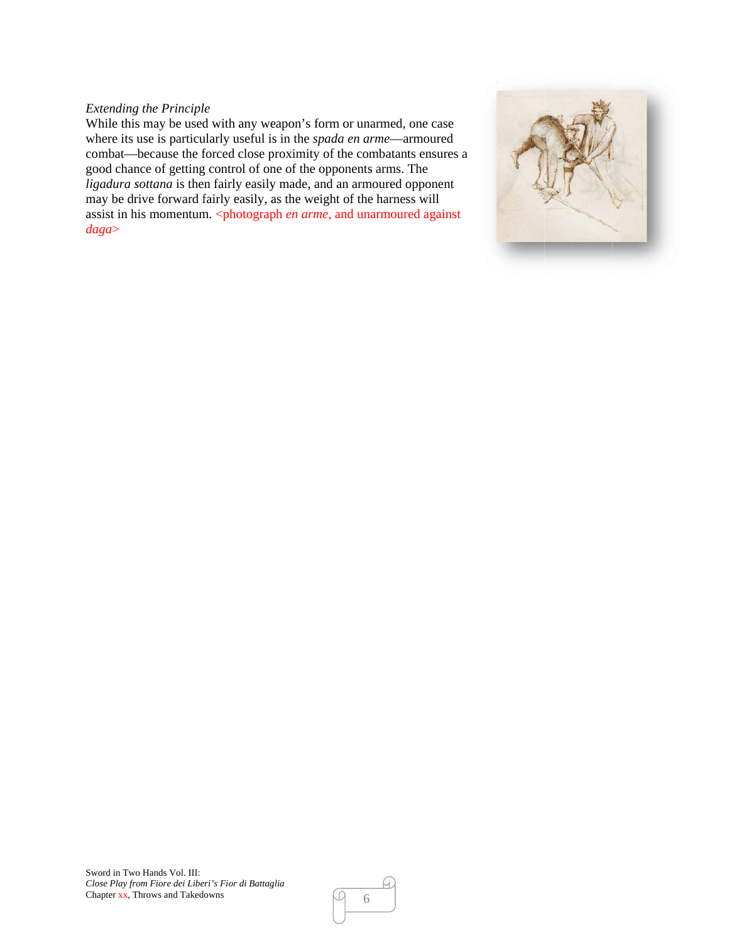### *Extending the Principle*

While this may be used with any weapon's form or unarmed, one case where its use is particularly useful is in the *spada en arme*—armoured combat—because the forced close proximity of the combatants ensures a good chance of getting control of one of the opponents arms. The ligadura sottana is then fairly easily made, and an armoured opponent may be drive forward fairly easily, as the weight of the harness will assist in his momentum. <photograph *en arme*, and unarmoured against *daga*>



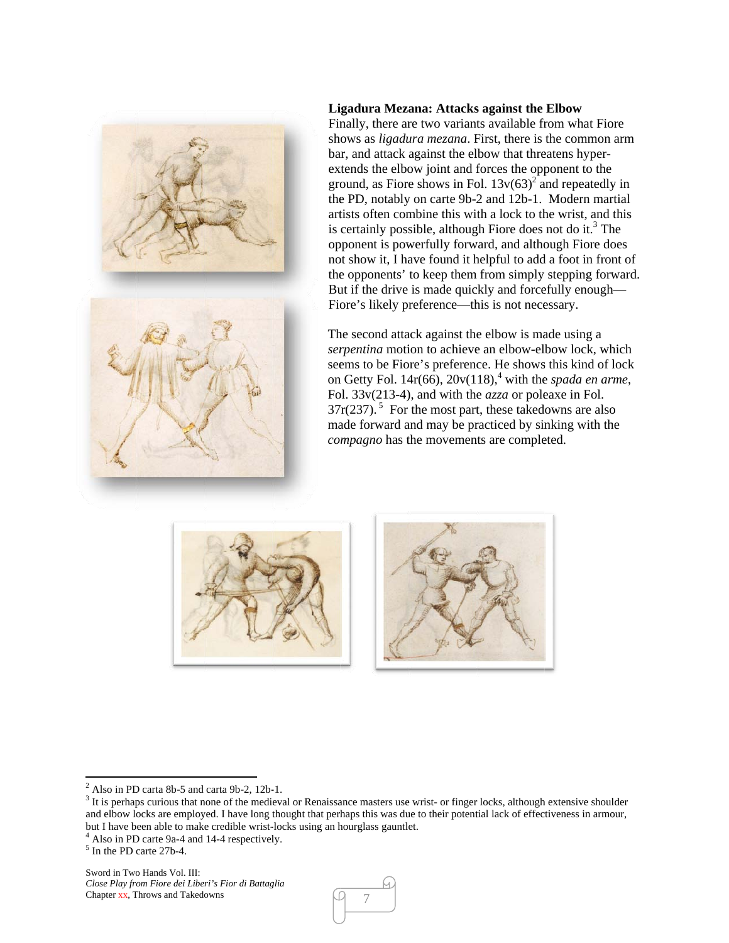

### **Li igadura Mez ana: Attacks s against the Elbow**

Finally, there are two variants available from what Fiore shows as *ligadura mezana*. First, there is the common arm bar, and attack against the elbow that threatens hyperextends the elbow joint and forces the opponent to the ground, as Fiore shows in Fol.  $13v(63)^2$  and repeatedly in the PD, notably on carte 9b-2 and 12b-1. Modern martial artists often combine this with a lock to the wrist, and this is certainly possible, although Fiore does not do it.<sup>3</sup> The opponent is powerfully forward, and although Fiore does not show it, I have found it helpful to add a foot in front of the opponents' to keep them from simply stepping forward. But if the drive is made quickly and forcefully enough— Fiore's likely preference—this is not necessary.

The second attack against the elbow is made using a serpentina motion to achieve an elbow-elbow lock, which seems to be Fiore's preference. He shows this kind of lock on Getty Fol.  $14r(66)$ ,  $20v(118)$ ,<sup>4</sup> with the *spada en arme*, Fol. 33v(213-4), and with the *azza* or poleaxe in Fol.  $37r(237)$ .<sup>5</sup> For the most part, these takedowns are also  $37r(237)$ .<sup>5</sup> For the most part, these takedowns are also made forward and may be practiced by sinking with the compagno has the movements are completed.







 $\frac{2}{3}$  Also in PD D carta 8b-5 and carta 9b-2, 12b-1.

It is perhaps curious that none of the medieval or Renaissance masters use wrist- or finger locks, although extensive shoulder and elbow locks are employed. I have long thought that perhaps this was due to their potential lack of effectiveness in armour, but I have been able to make credible wrist-locks using an hourglass gauntlet.<br> $^{4}$  Also in PD gatte 0a 4 and 14.4 respectively.

<sup>&</sup>lt;sup>4</sup> Also in PD carte 9a-4 and 14-4 respectively.

In the PD carte 27b-4.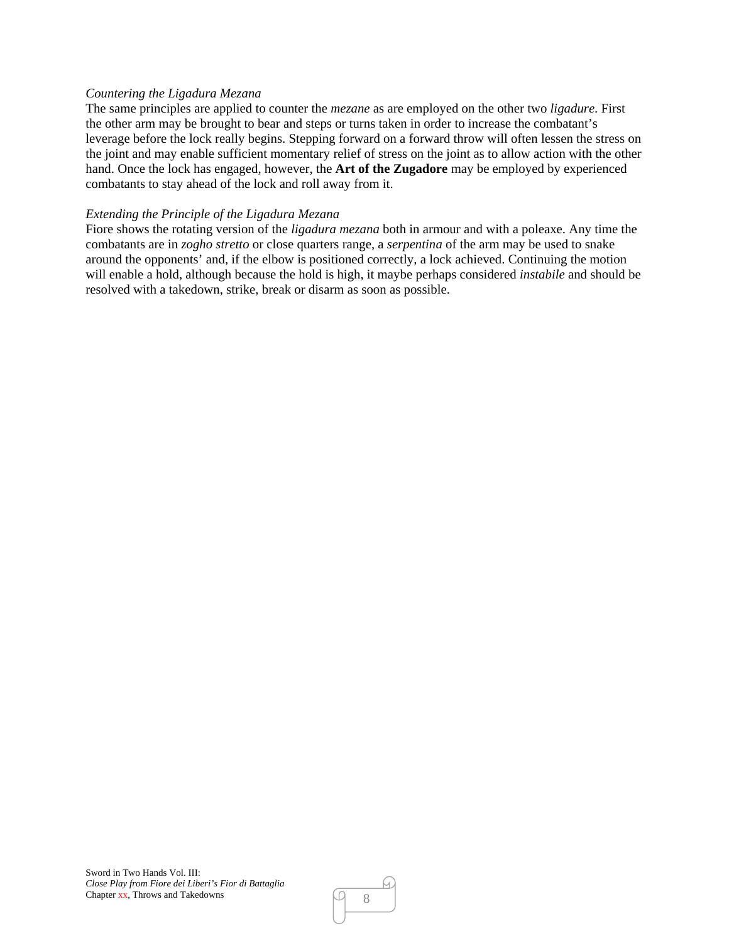### *Countering the Ligadura Mezana*

The same principles are applied to counter the *mezane* as are employed on the other two *ligadure*. First the other arm may be brought to bear and steps or turns taken in order to increase the combatant's leverage before the lock really begins. Stepping forward on a forward throw will often lessen the stress on the joint and may enable sufficient momentary relief of stress on the joint as to allow action with the other hand. Once the lock has engaged, however, the **Art of the Zugadore** may be employed by experienced combatants to stay ahead of the lock and roll away from it.

### *Extending the Principle of the Ligadura Mezana*

Fiore shows the rotating version of the *ligadura mezana* both in armour and with a poleaxe. Any time the combatants are in *zogho stretto* or close quarters range, a *serpentina* of the arm may be used to snake around the opponents' and, if the elbow is positioned correctly, a lock achieved. Continuing the motion will enable a hold, although because the hold is high, it maybe perhaps considered *instabile* and should be resolved with a takedown, strike, break or disarm as soon as possible.

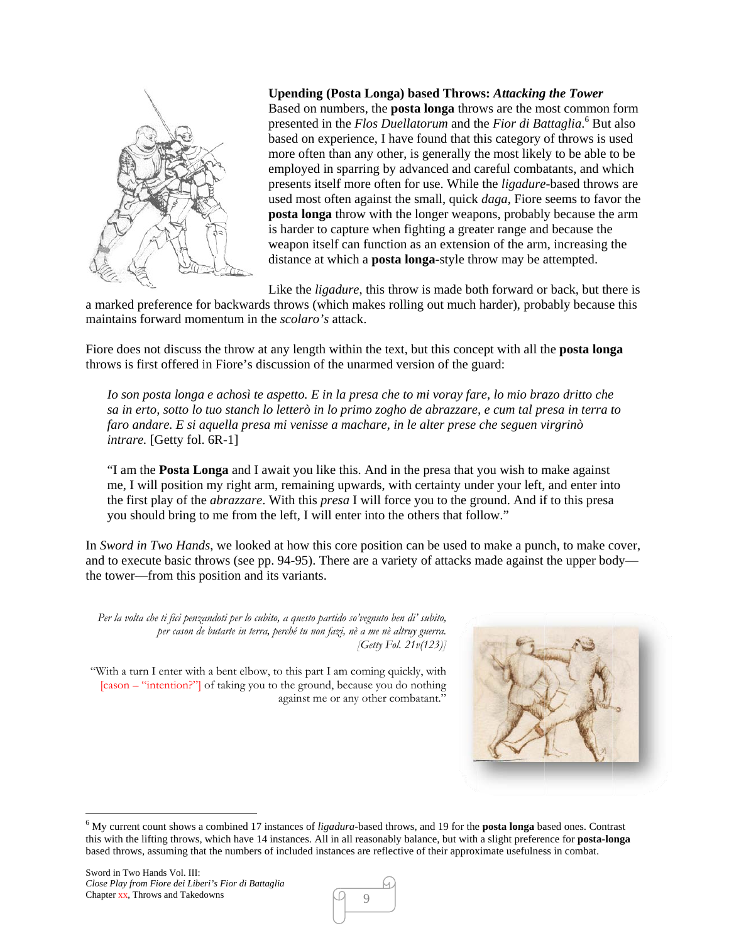

#### Upending (Posta Longa) based Throws: Attacking the Tower

Based on numbers, the **posta longa** throws are the most common form presented in the *Flos Duellatorum* and the *Fior di Battaglia*.<sup>6</sup> But also based on experience, I have found that this category of throws is used more often than any other, is generally the most likely to be able to be employed in sparring by advanced and careful combatants, and which presents itself more often for use. While the *ligadure*-based throws are used most often against the small, quick *daga*, Fiore seems to favor the posta longa throw with the longer weapons, probably because the arm is harder to capture when fighting a greater range and because the weapon itself can function as an extension of the arm, increasing the distance at which a **posta longa**-style throw may be attempted.

a marked preference for backwards throws (which makes rolling out much harder), probably because this Like the *ligadure*, this throw is made both forward or back, but there is

maintains forward momentum in the *scolaro's* attack.

Fiore does not discuss the throw at any length within the text, but this concept with all the **posta longa** throws is first offered in Fiore's discussion of the unarmed version of the guard:

Io son posta longa e achosì te aspetto. E in la presa che to mi voray fare, lo mio brazo dritto che *Io son posta longa e achosì te aspetto. E in la presa che to mi voray fare, lo mio brazo dritto che<br>sa in erto, sotto lo tuo stanch lo letterò in lo primo zogho de abrazzare, e cum tal presa in terra to* faro andare. E si aquella presa mi venisse a machare, in le alter prese che seguen virgrinò *intrare.* [Getty fol. 6R-1]

"I am the **Posta Longa** and I await you like this. And in the presa that you wish to make against me, I will position my right arm, remaining upwards, with certainty under your left, and enter into the first play of the *abrazzare*. With this *presa* I will force you to the ground. And if to this presa you should bring to me from the left, I will enter into the others that follow." the first play of the *abrazzare*. With this *presa* I will force you to the ground. And if to this presa<br>you should bring to me from the left, I will enter into the others that follow."<br>In *Sword in Two Hands*, we looked

and to execute basic throws (see pp. 94-95). There are a variety of attacks made against the upper body the tower—from this position and its variants.

Per la volta che ti fici penzandoti per lo cubito, a questo partido so'vegnuto ben di' subito, per cason de butarte in terra, perché tu non fazi, nè a me nè altruy guerra. *[Getty Fol. 2 21v(123)]* 

"With a turn I enter with a bent elbow, to this part I am coming quickly, with [cason – "intention?"] of taking you to the ground, because you do nothing against me or any other combatant."



<sup>&</sup>lt;sup>6</sup> My current count shows a combined 17 instances of *ligadura*-based throws, and 19 for the **posta longa** based ones. Contrast this with the lifting throws, which have 14 instances. All in all reasonably balance, but with a slight preference for **posta-longa** based throws, assuming that the numbers of included instances are reflective of their approximate usefulness in combat.

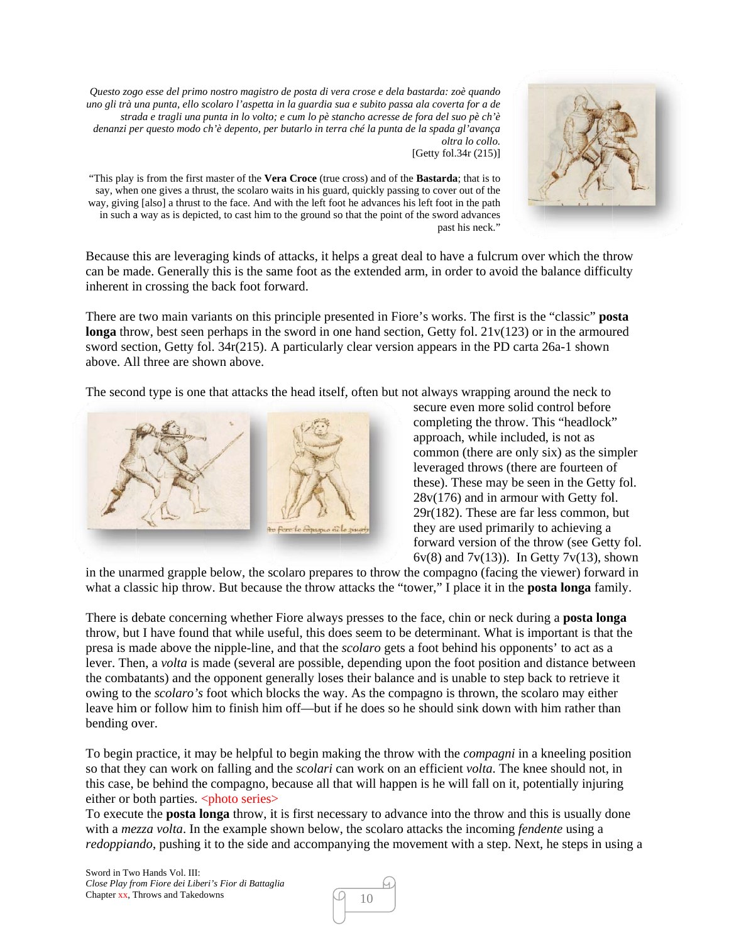Questo zogo esse del primo nostro magistro de posta di vera crose e dela bastarda: zoè quando *uno gli trà u una punta, ello s scolaro l'aspetta a in la guardia su ua e subito passa a ala coverta for r a de*  strada e tragli una punta in lo volto; e cum lo pè stancho acresse de fora del suo pè ch'è denanzi per questo modo ch'è depento, per butarlo in terra ché la punta de la spada gl'avança *oltra lo collo.*  [Getty fol.34r (215)]



"This play is from the first master of the **Vera Croce** (true cross) and of the **Bastarda**; that is to say, when one gives a thrust, the scolaro waits in his guard, quickly passing to cover out of the way, giving [also] a thrust to the face. And with the left foot he advances his left foot in the path in such a way as is depicted, to cast him to the ground so that the point of the sword advances past his neck."

Because this are leveraging kinds of attacks, it helps a great deal to have a fulcrum over which the throw can be made. Generally this is the same foot as the extended arm, in order to avoid the balance difficulty inherent in crossing the back foot forward.

There are two main variants on this principle presented in Fiore's works. The first is the "classic" posta **longa** throw, best seen perhaps in the sword in one hand section, Getty fol.  $21v(123)$  or in the armoured sword section, Getty fol. 34r(215). A particularly clear version appears in the PD carta 26a-1 shown above. All three are shown above.

The second type is one that attacks the head itself, often but not always wrapping around the neck to



secure even more solid control before completing the throw. This "headlock" approach, while included, is not as completing the throw. This "headlock"<br>approach, while included, is not as<br>common (there are only six) as the simpler leveraged throws (there are fourteen of these). These may be seen in the Getty fol.  $28v(176)$  and in armour with Getty fol.  $29r(182)$ . These are far less common, but they are used primarily to achieving a forward version of the throw (see Getty fol.  $6v(8)$  and  $7v(13)$ ). In Getty  $7v(13)$ , shown

in the unarmed grapple below, the scolaro prepares to throw the compagno (facing the viewer) forward in what a classic hip throw. But because the throw attacks the "tower," I place it in the **posta longa** family.

There is debate concerning whether Fiore always presses to the face, chin or neck during a **posta longa** throw, but I have found that while useful, this does seem to be determinant. What is important is that the presa is made above the nipple-line, and that the *scolaro* gets a foot behind his opponents' to act as a lever. Then, a *volta* is made (several are possible, depending upon the foot position and distance between the combatants) and the opponent generally loses their balance and is unable to step back to retrieve it owing to the *scolaro's* foot which blocks the way. As the compagno is thrown, the scolaro may either leave him or follow him to finish him off—but if he does so he should sink down with him rather than bending over.

To begin practice, it may be helpful to begin making the throw with the *compagni* in a kneeling position so that they can work on falling and the *scolari* can work on an efficient *volta*. The knee should not, in this case, be behind the compagno, because all that will happen is he will fall on it, potentially injuring either or both parties. < photo series

either or both parties. < photo series ><br>To execute the **posta longa** throw, it is first necessary to advance into the throw and this is usually done with a *mezza volta*. In the example shown below, the scolaro attacks the incoming *fendente* using a redoppiando, pushing it to the side and accompanying the movement with a step. Next, he steps in using a

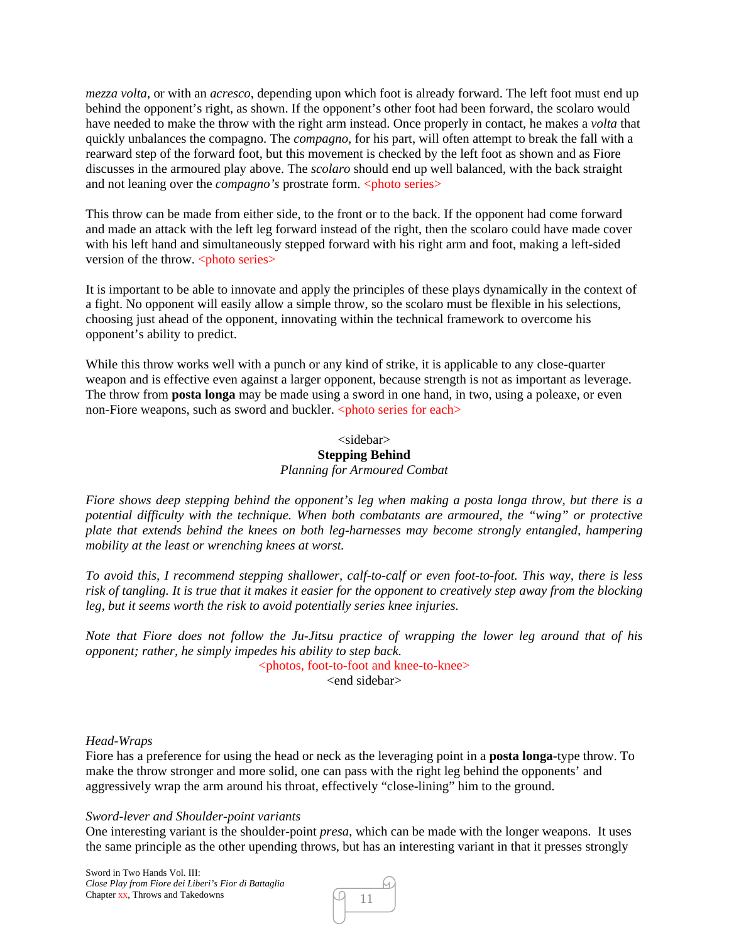*mezza volta*, or with an *acresco*, depending upon which foot is already forward. The left foot must end up behind the opponent's right, as shown. If the opponent's other foot had been forward, the scolaro would have needed to make the throw with the right arm instead. Once properly in contact, he makes a *volta* that quickly unbalances the compagno. The *compagno*, for his part, will often attempt to break the fall with a rearward step of the forward foot, but this movement is checked by the left foot as shown and as Fiore discusses in the armoured play above. The *scolaro* should end up well balanced, with the back straight and not leaning over the *compagno's* prostrate form. <photo series>

This throw can be made from either side, to the front or to the back. If the opponent had come forward and made an attack with the left leg forward instead of the right, then the scolaro could have made cover with his left hand and simultaneously stepped forward with his right arm and foot, making a left-sided version of the throw.  $\langle$ photo series $\rangle$ 

It is important to be able to innovate and apply the principles of these plays dynamically in the context of a fight. No opponent will easily allow a simple throw, so the scolaro must be flexible in his selections, choosing just ahead of the opponent, innovating within the technical framework to overcome his opponent's ability to predict.

While this throw works well with a punch or any kind of strike, it is applicable to any close-quarter weapon and is effective even against a larger opponent, because strength is not as important as leverage. The throw from **posta longa** may be made using a sword in one hand, in two, using a poleaxe, or even non-Fiore weapons, such as sword and buckler. <photo series for each>

## <sidebar> **Stepping Behind**  *Planning for Armoured Combat*

*Fiore shows deep stepping behind the opponent's leg when making a posta longa throw, but there is a potential difficulty with the technique. When both combatants are armoured, the "wing" or protective plate that extends behind the knees on both leg-harnesses may become strongly entangled, hampering mobility at the least or wrenching knees at worst.* 

*To avoid this, I recommend stepping shallower, calf-to-calf or even foot-to-foot. This way, there is less risk of tangling. It is true that it makes it easier for the opponent to creatively step away from the blocking leg, but it seems worth the risk to avoid potentially series knee injuries.* 

*Note that Fiore does not follow the Ju-Jitsu practice of wrapping the lower leg around that of his opponent; rather, he simply impedes his ability to step back.* 

<photos, foot-to-foot and knee-to-knee>

<end sidebar>

#### *Head-Wraps*

Fiore has a preference for using the head or neck as the leveraging point in a **posta longa**-type throw. To make the throw stronger and more solid, one can pass with the right leg behind the opponents' and aggressively wrap the arm around his throat, effectively "close-lining" him to the ground.

#### *Sword-lever and Shoulder-point variants*

One interesting variant is the shoulder-point *presa*, which can be made with the longer weapons. It uses the same principle as the other upending throws, but has an interesting variant in that it presses strongly

Sword in Two Hands Vol. III: *Close Play from Fiore dei Liberi's Fior di Battaglia*  Chapter xx, Throws and Takedowns  $\begin{pmatrix} 0 & 11 \end{pmatrix}$ 

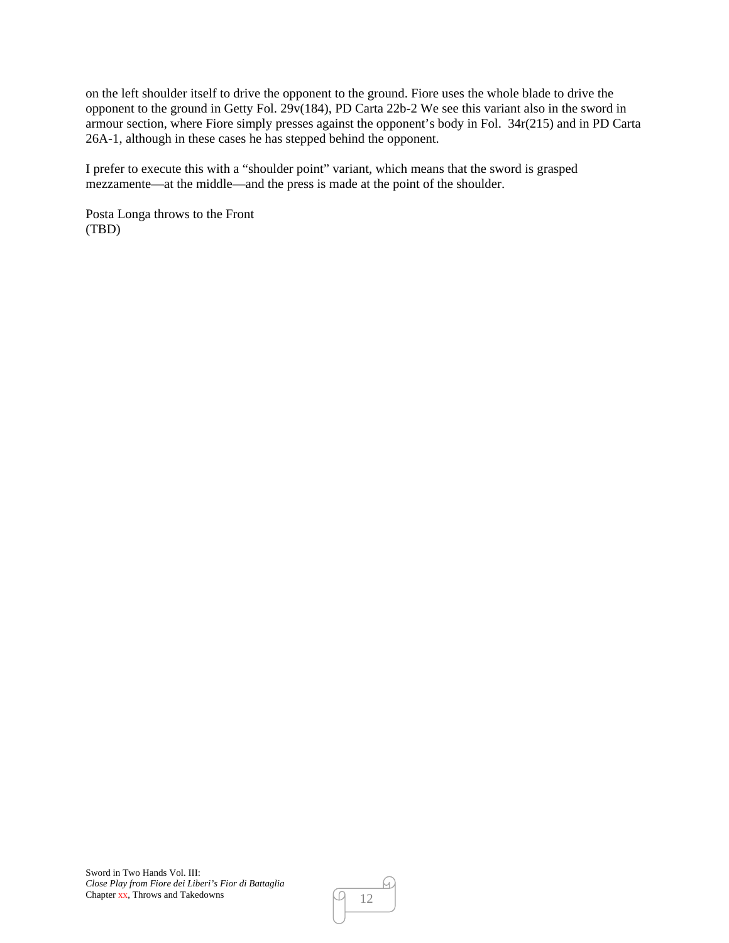on the left shoulder itself to drive the opponent to the ground. Fiore uses the whole blade to drive the opponent to the ground in Getty Fol. 29v(184), PD Carta 22b-2 We see this variant also in the sword in armour section, where Fiore simply presses against the opponent's body in Fol. 34r(215) and in PD Carta 26A-1, although in these cases he has stepped behind the opponent.

I prefer to execute this with a "shoulder point" variant, which means that the sword is grasped mezzamente—at the middle—and the press is made at the point of the shoulder.

Posta Longa throws to the Front (TBD)

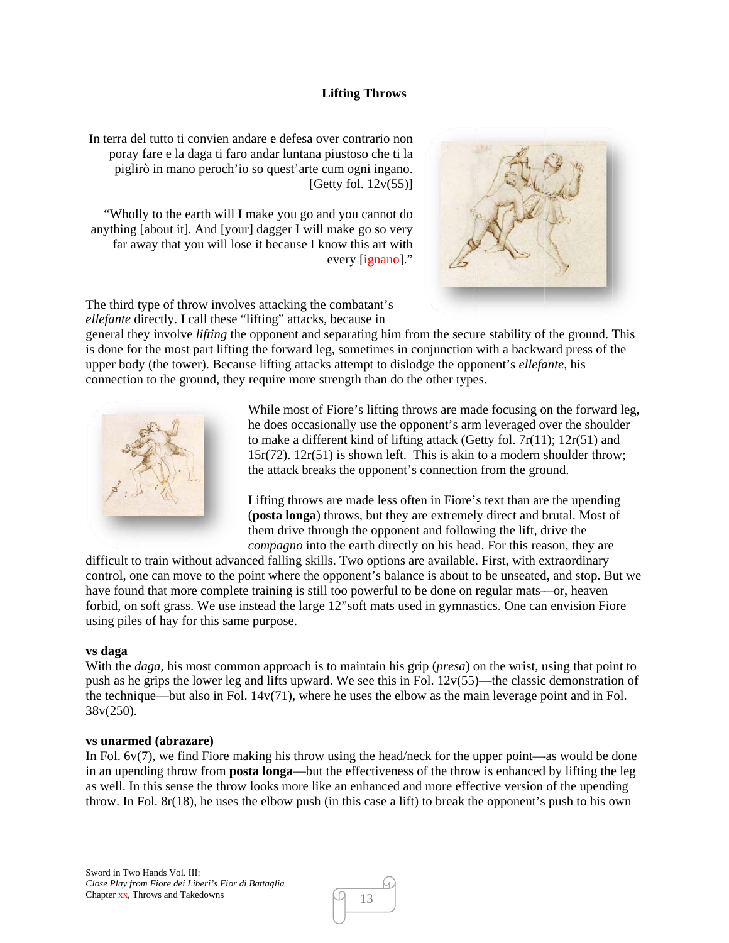## **Lift ting Throws**



In terra del tutto ti convien andare e defesa over contrario non poray fare e la daga ti faro andar luntana piustoso che ti la piglirò in mano peroch'io so quest'arte cum ogni ingano [Getty fol.  $12v(55)$ ] n<br>la<br>o.

"Wholly to the earth will I make you go and you cannot do anything [about it]. And [your] dagger I will make go so very far away that you will lose it because I know this art with every [ignano]."

The third type of throw involves attacking the combatant's ellefante directly. I call these "lifting" attacks, because in

is done for the most part lifting the forward leg, sometimes in conjunction with a backward press of the upper body (the tower). Because lifting attacks attempt to dislodge the opponent's *ellefante*, his connection to the ground, they require more strength than do the other types.



While most of Fiore's lifting throws are made focusing on the forward leg, he does occasionally use the opponent's arm leveraged over the shoulder to make a different kind of lifting attack (Getty fol.  $7r(11)$ ;  $12r(51)$  and 15 $r(72)$ . 12 $r(51)$  is shown left. This is akin to a modern shoulder throw; the attack breaks the opponent's connection from the ground.

Lifting throws are made less often in Fiore's text than are the upending (posta longa) throws, but they are extremely direct and brutal. Most of them drive through the opponent and following the lift, drive the compagno into the earth directly on his head. For this reason, they are

difficult to train without advanced falling skills. Two options are available. First, with extraordinary compagno into the earth directly on his head. For this reason, they are<br>difficult to train without advanced falling skills. Two options are available. First, with extraordinary<br>control, one can move to the point where the have found that more complete training is still too powerful to be done on regular mats—or, heaven forbid, on soft grass. We use instead the large 12" soft mats used in gymnastics. One can envision Fiore using piles of hay for this same purpose.

#### **vs daga**

With the *daga*, his most common approach is to maintain his grip (*presa*) on the wrist, using that point to push as he grips the lower leg and lifts upward. We see this in Fol.  $12v(55)$ —the classic demonstration of the technique—but also in Fol.  $14v(71)$ , where he uses the elbow as the main leverage point and in Fol. 38v(250). .

#### **vs unarm med (abrazare e)**

In Fol.  $6v(7)$ , we find Fiore making his throw using the head/neck for the upper point—as would be done in an upending throw from **posta longa**—but the effectiveness of the throw is enhanced by lifting the leg as well. In this sense the throw looks more like an enhanced and more effective version of the upending throw. In Fol.  $8r(18)$ , he uses the elbow push (in this case a lift) to break the opponent's push to his own

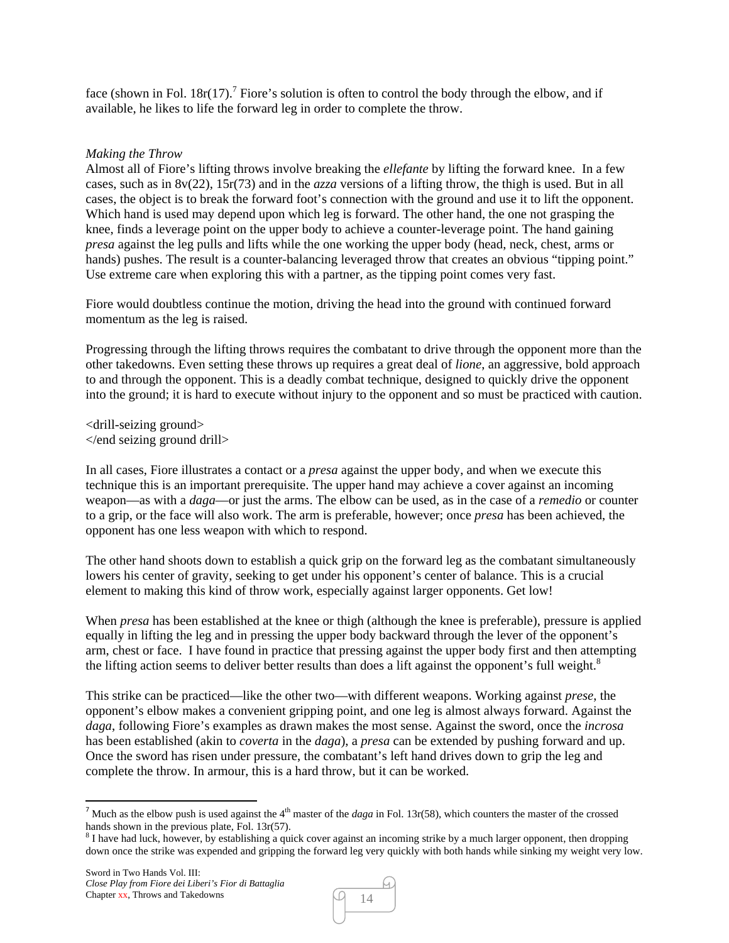face (shown in Fol. 18r(17).<sup>7</sup> Fiore's solution is often to control the body through the elbow, and if available, he likes to life the forward leg in order to complete the throw.

### *Making the Throw*

Almost all of Fiore's lifting throws involve breaking the *ellefante* by lifting the forward knee. In a few cases, such as in 8v(22), 15r(73) and in the *azza* versions of a lifting throw, the thigh is used. But in all cases, the object is to break the forward foot's connection with the ground and use it to lift the opponent. Which hand is used may depend upon which leg is forward. The other hand, the one not grasping the knee, finds a leverage point on the upper body to achieve a counter-leverage point. The hand gaining *presa* against the leg pulls and lifts while the one working the upper body (head, neck, chest, arms or hands) pushes. The result is a counter-balancing leveraged throw that creates an obvious "tipping point." Use extreme care when exploring this with a partner, as the tipping point comes very fast.

Fiore would doubtless continue the motion, driving the head into the ground with continued forward momentum as the leg is raised.

Progressing through the lifting throws requires the combatant to drive through the opponent more than the other takedowns. Even setting these throws up requires a great deal of *lione*, an aggressive, bold approach to and through the opponent. This is a deadly combat technique, designed to quickly drive the opponent into the ground; it is hard to execute without injury to the opponent and so must be practiced with caution.

<drill-seizing ground>  $\le$ /end seizing ground drill $>$ 

In all cases, Fiore illustrates a contact or a *presa* against the upper body, and when we execute this technique this is an important prerequisite. The upper hand may achieve a cover against an incoming weapon—as with a *daga*—or just the arms. The elbow can be used, as in the case of a *remedio* or counter to a grip, or the face will also work. The arm is preferable, however; once *presa* has been achieved, the opponent has one less weapon with which to respond.

The other hand shoots down to establish a quick grip on the forward leg as the combatant simultaneously lowers his center of gravity, seeking to get under his opponent's center of balance. This is a crucial element to making this kind of throw work, especially against larger opponents. Get low!

When *presa* has been established at the knee or thigh (although the knee is preferable), pressure is applied equally in lifting the leg and in pressing the upper body backward through the lever of the opponent's arm, chest or face. I have found in practice that pressing against the upper body first and then attempting the lifting action seems to deliver better results than does a lift against the opponent's full weight.<sup>8</sup>

This strike can be practiced—like the other two—with different weapons. Working against *prese*, the opponent's elbow makes a convenient gripping point, and one leg is almost always forward. Against the *daga*, following Fiore's examples as drawn makes the most sense. Against the sword, once the *incrosa* has been established (akin to *coverta* in the *daga*), a *presa* can be extended by pushing forward and up. Once the sword has risen under pressure, the combatant's left hand drives down to grip the leg and complete the throw. In armour, this is a hard throw, but it can be worked.



 <sup>7</sup> Much as the elbow push is used against the  $4<sup>th</sup>$  master of the *daga* in Fol. 13r(58), which counters the master of the crossed hands shown in the previous plate, Fol. 13r(57).

 $8$  I have had luck, however, by establishing a quick cover against an incoming strike by a much larger opponent, then dropping down once the strike was expended and gripping the forward leg very quickly with both hands while sinking my weight very low.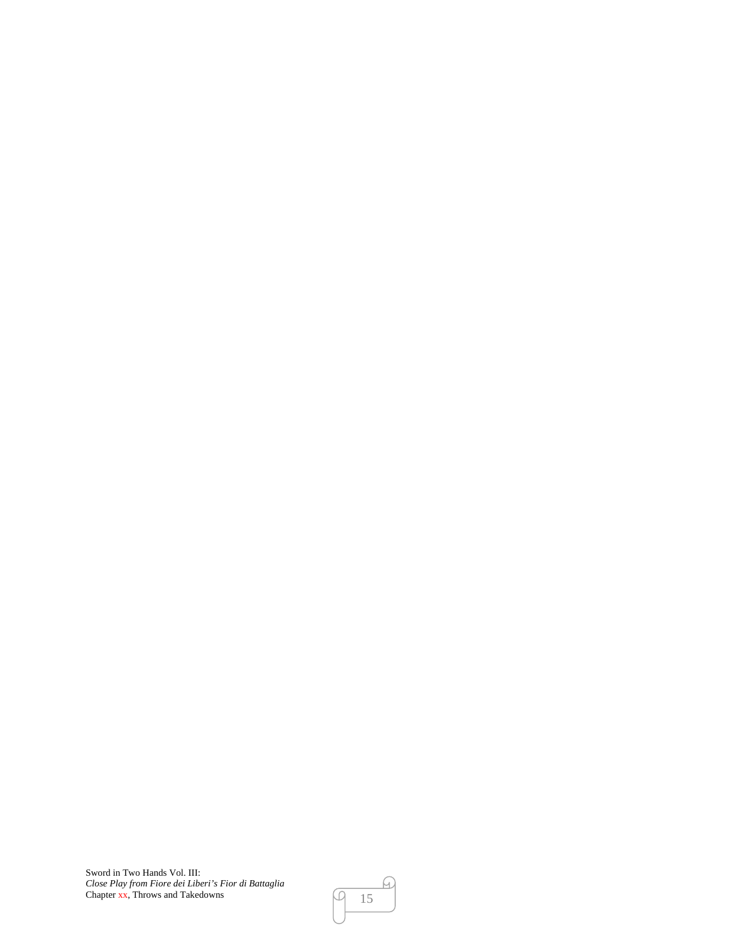Sword in Two Hands Vol. III: *Close Play from Fiore dei Liberi's Fior di Battaglia*  Chapter xx, Throws and Takedowns 15

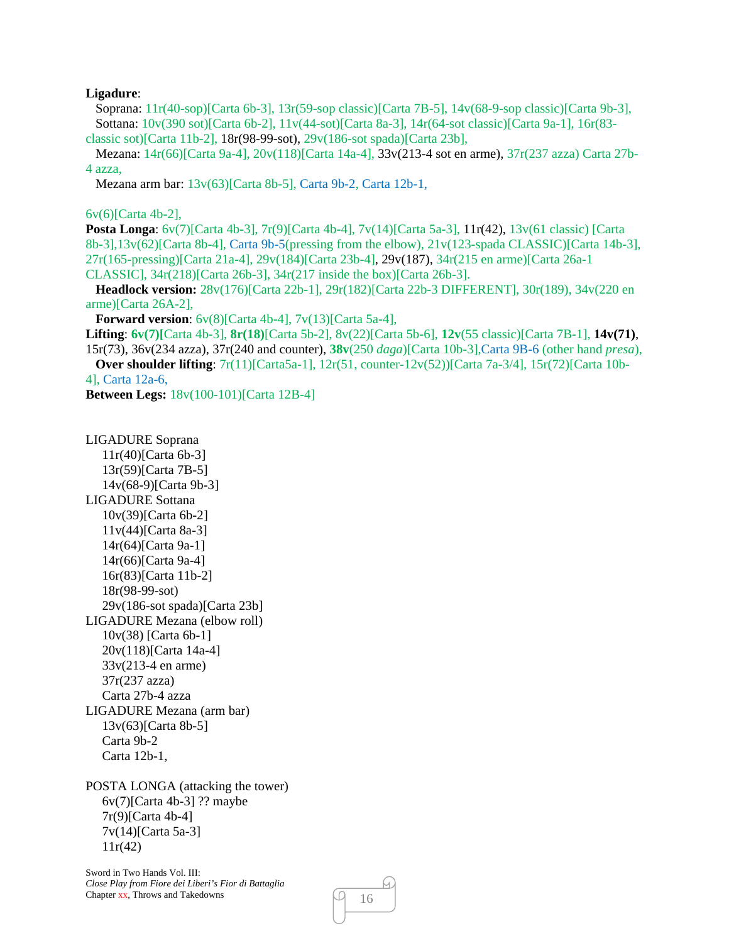### **Ligadure**:

 Soprana: 11r(40-sop)[Carta 6b-3], 13r(59-sop classic)[Carta 7B-5], 14v(68-9-sop classic)[Carta 9b-3], Sottana: 10v(390 sot)[Carta 6b-2], 11v(44-sot)[Carta 8a-3], 14r(64-sot classic)[Carta 9a-1], 16r(83 classic sot)[Carta 11b-2], 18r(98-99-sot), 29v(186-sot spada)[Carta 23b],

 Mezana: 14r(66)[Carta 9a-4], 20v(118)[Carta 14a-4], 33v(213-4 sot en arme), 37r(237 azza) Carta 27b-4 azza,

Mezana arm bar: 13v(63)[Carta 8b-5], Carta 9b-2, Carta 12b-1,

#### 6v(6)[Carta 4b-2],

**Posta Longa**: 6v(7)[Carta 4b-3], 7r(9)[Carta 4b-4], 7v(14)[Carta 5a-3], 11r(42), 13v(61 classic) [Carta 8b-3],13v(62)[Carta 8b-4], Carta 9b-5(pressing from the elbow), 21v(123-spada CLASSIC)[Carta 14b-3], 27r(165-pressing)[Carta 21a-4], 29v(184)[Carta 23b-4], 29v(187), 34r(215 en arme)[Carta 26a-1 CLASSIC], 34r(218)[Carta 26b-3], 34r(217 inside the box)[Carta 26b-3].

 **Headlock version:** 28v(176)[Carta 22b-1], 29r(182)[Carta 22b-3 DIFFERENT], 30r(189), 34v(220 en arme)[Carta 26A-2],

**Forward version**: 6v(8)[Carta 4b-4], 7v(13)[Carta 5a-4],

**Lifting**: **6v(7)[**Carta 4b-3], **8r(18)**[Carta 5b-2], 8v(22)[Carta 5b-6], **12v**(55 classic)[Carta 7B-1], **14v(71)**, 15r(73), 36v(234 azza), 37r(240 and counter), **38v**(250 *daga*)[Carta 10b-3],Carta 9B-6 (other hand *presa*), **Over shoulder lifting**: 7r(11)[Carta5a-1], 12r(51, counter-12v(52))[Carta 7a-3/4], 15r(72)[Carta 10b-4], Carta 12a-6,

**Between Legs:** 18v(100-101)[Carta 12B-4]

LIGADURE Soprana 11r(40)[Carta 6b-3] 13r(59)[Carta 7B-5] 14v(68-9)[Carta 9b-3] LIGADURE Sottana 10v(39)[Carta 6b-2] 11v(44)[Carta 8a-3] 14r(64)[Carta 9a-1] 14r(66)[Carta 9a-4] 16r(83)[Carta 11b-2] 18r(98-99-sot) 29v(186-sot spada)[Carta 23b] LIGADURE Mezana (elbow roll) 10v(38) [Carta 6b-1] 20v(118)[Carta 14a-4] 33v(213-4 en arme) 37r(237 azza) Carta 27b-4 azza LIGADURE Mezana (arm bar) 13v(63)[Carta 8b-5] Carta 9b-2 Carta 12b-1,

POSTA LONGA (attacking the tower) 6v(7)[Carta 4b-3] ?? maybe 7r(9)[Carta 4b-4] 7v(14)[Carta 5a-3] 11r(42)

Sword in Two Hands Vol. III: *Close Play from Fiore dei Liberi's Fior di Battaglia*  Chapter xx, Throws and Takedowns  $\begin{bmatrix} 0 & 16 \end{bmatrix}$